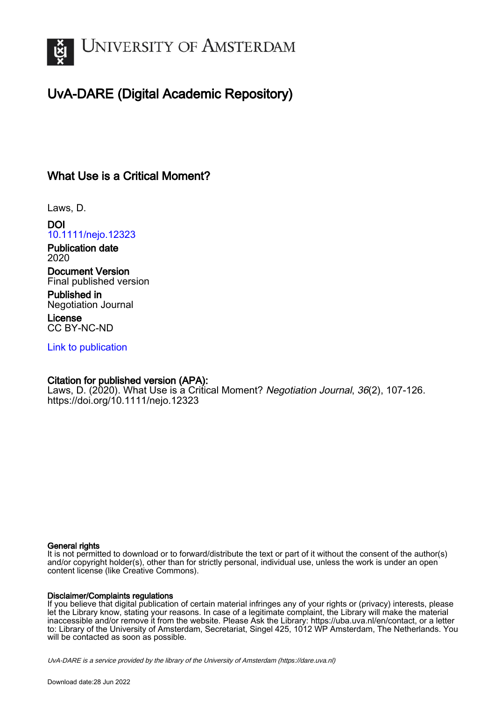

# UvA-DARE (Digital Academic Repository)

## What Use is a Critical Moment?

Laws, D.

DOI [10.1111/nejo.12323](https://doi.org/10.1111/nejo.12323)

Publication date 2020

Document Version Final published version

Published in Negotiation Journal

License CC BY-NC-ND

[Link to publication](https://dare.uva.nl/personal/pure/en/publications/what-use-is-a-critical-moment(247de3c8-4ed8-41a0-95f2-c7963e16fb5f).html)

## Citation for published version (APA):

Laws, D. (2020). What Use is a Critical Moment? Negotiation Journal, 36(2), 107-126. <https://doi.org/10.1111/nejo.12323>

#### General rights

It is not permitted to download or to forward/distribute the text or part of it without the consent of the author(s) and/or copyright holder(s), other than for strictly personal, individual use, unless the work is under an open content license (like Creative Commons).

#### Disclaimer/Complaints regulations

If you believe that digital publication of certain material infringes any of your rights or (privacy) interests, please let the Library know, stating your reasons. In case of a legitimate complaint, the Library will make the material inaccessible and/or remove it from the website. Please Ask the Library: https://uba.uva.nl/en/contact, or a letter to: Library of the University of Amsterdam, Secretariat, Singel 425, 1012 WP Amsterdam, The Netherlands. You will be contacted as soon as possible.

UvA-DARE is a service provided by the library of the University of Amsterdam (http*s*://dare.uva.nl)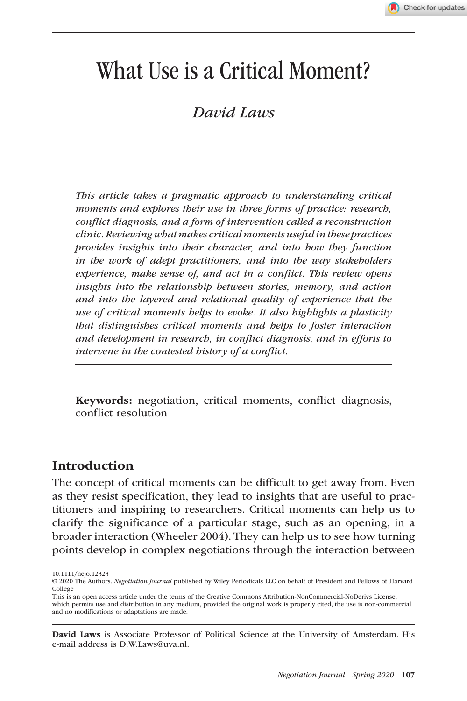# What Use is a Critical Moment?

## *David Laws*

*This article takes a pragmatic approach to understanding critical moments and explores their use in three forms of practice: research, conflict diagnosis, and a form of intervention called a reconstruction clinic. Reviewing what makes critical moments useful in these practices provides insights into their character, and into how they function in the work of adept practitioners, and into the way stakeholders experience, make sense of, and act in a conflict. This review opens insights into the relationship between stories, memory, and action and into the layered and relational quality of experience that the use of critical moments helps to evoke. It also highlights a plasticity that distinguishes critical moments and helps to foster interaction and development in research, in conflict diagnosis, and in efforts to intervene in the contested history of a conflict.*

Keywords: negotiation, critical moments, conflict diagnosis, conflict resolution

#### Introduction

The concept of critical moments can be difficult to get away from. Even as they resist specification, they lead to insights that are useful to practitioners and inspiring to researchers. Critical moments can help us to clarify the significance of a particular stage, such as an opening, in a broader interaction (Wheeler 2004). They can help us to see how turning points develop in complex negotiations through the interaction between

David Laws is Associate Professor of Political Science at the University of Amsterdam. His e-mail address is [D.W.Laws@uva.nl.](mailto:D.W.Laws@uva.nl)

<sup>10.1111/</sup>nejo.12323

<sup>© 2020</sup> The Authors. *Negotiation Journal* published by Wiley Periodicals LLC on behalf of President and Fellows of Harvard College

This is an open access article under the terms of the [Creative Commons Attribution-NonCommercial-NoDerivs](http://creativecommons.org/licenses/by-nc-nd/4.0/) License, which permits use and distribution in any medium, provided the original work is properly cited, the use is non-commercial and no modifications or adaptations are made.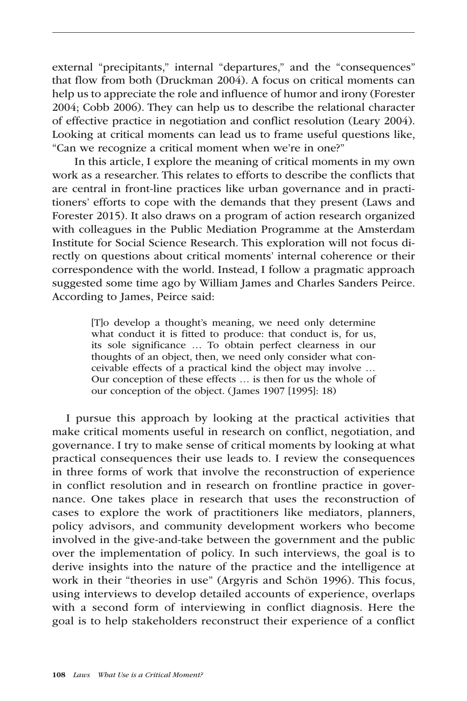external "precipitants," internal "departures," and the "consequences" that flow from both (Druckman 2004). A focus on critical moments can help us to appreciate the role and influence of humor and irony (Forester 2004; Cobb 2006). They can help us to describe the relational character of effective practice in negotiation and conflict resolution (Leary 2004). Looking at critical moments can lead us to frame useful questions like, "Can we recognize a critical moment when we're in one?"

In this article, I explore the meaning of critical moments in my own work as a researcher. This relates to efforts to describe the conflicts that are central in front-line practices like urban governance and in practitioners' efforts to cope with the demands that they present (Laws and Forester 2015). It also draws on a program of action research organized with colleagues in the Public Mediation Programme at the Amsterdam Institute for Social Science Research. This exploration will not focus directly on questions about critical moments' internal coherence or their correspondence with the world. Instead, I follow a pragmatic approach suggested some time ago by William James and Charles Sanders Peirce. According to James, Peirce said:

> [T]o develop a thought's meaning, we need only determine what conduct it is fitted to produce: that conduct is, for us, its sole significance … To obtain perfect clearness in our thoughts of an object, then, we need only consider what conceivable effects of a practical kind the object may involve … Our conception of these effects … is then for us the whole of our conception of the object. (James 1907 [1995]: 18)

I pursue this approach by looking at the practical activities that make critical moments useful in research on conflict, negotiation, and governance. I try to make sense of critical moments by looking at what practical consequences their use leads to. I review the consequences in three forms of work that involve the reconstruction of experience in conflict resolution and in research on frontline practice in governance. One takes place in research that uses the reconstruction of cases to explore the work of practitioners like mediators, planners, policy advisors, and community development workers who become involved in the give-and-take between the government and the public over the implementation of policy. In such interviews, the goal is to derive insights into the nature of the practice and the intelligence at work in their "theories in use" (Argyris and Schön 1996). This focus, using interviews to develop detailed accounts of experience, overlaps with a second form of interviewing in conflict diagnosis. Here the goal is to help stakeholders reconstruct their experience of a conflict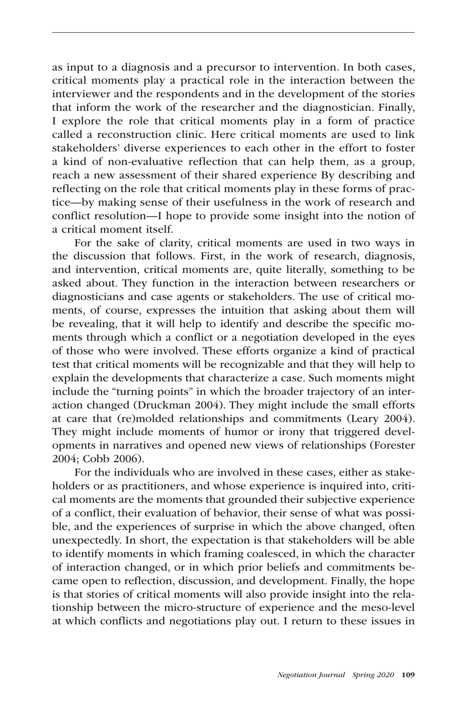as input to a diagnosis and a precursor to intervention. In both cases, critical moments play a practical role in the interaction between the interviewer and the respondents and in the development of the stories that inform the work of the researcher and the diagnostician. Finally, I explore the role that critical moments play in a form of practice called a reconstruction clinic. Here critical moments are used to link stakeholders' diverse experiences to each other in the effort to foster a kind of non-evaluative reflection that can help them, as a group, reach a new assessment of their shared experience By describing and reflecting on the role that critical moments play in these forms of practice—by making sense of their usefulness in the work of research and conflict resolution—I hope to provide some insight into the notion of a critical moment itself.

For the sake of clarity, critical moments are used in two ways in the discussion that follows. First, in the work of research, diagnosis, and intervention, critical moments are, quite literally, something to be asked about. They function in the interaction between researchers or diagnosticians and case agents or stakeholders. The use of critical moments, of course, expresses the intuition that asking about them will be revealing, that it will help to identify and describe the specific moments through which a conflict or a negotiation developed in the eyes of those who were involved. These efforts organize a kind of practical test that critical moments will be recognizable and that they will help to explain the developments that characterize a case. Such moments might include the "turning points" in which the broader trajectory of an interaction changed (Druckman 2004). They might include the small efforts at care that (re)molded relationships and commitments (Leary 2004). They might include moments of humor or irony that triggered developments in narratives and opened new views of relationships (Forester 2004; Cobb 2006).

For the individuals who are involved in these cases, either as stakeholders or as practitioners, and whose experience is inquired into, critical moments are the moments that grounded their subjective experience of a conflict, their evaluation of behavior, their sense of what was possible, and the experiences of surprise in which the above changed, often unexpectedly. In short, the expectation is that stakeholders will be able to identify moments in which framing coalesced, in which the character of interaction changed, or in which prior beliefs and commitments became open to reflection, discussion, and development. Finally, the hope is that stories of critical moments will also provide insight into the relationship between the micro-structure of experience and the meso-level at which conflicts and negotiations play out. I return to these issues in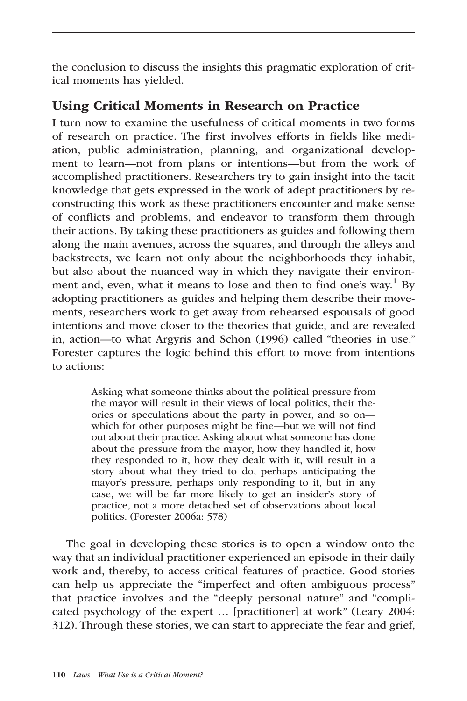the conclusion to discuss the insights this pragmatic exploration of critical moments has yielded.

### Using Critical Moments in Research on Practice

I turn now to examine the usefulness of critical moments in two forms of research on practice. The first involves efforts in fields like mediation, public administration, planning, and organizational development to learn—not from plans or intentions—but from the work of accomplished practitioners. Researchers try to gain insight into the tacit knowledge that gets expressed in the work of adept practitioners by reconstructing this work as these practitioners encounter and make sense of conflicts and problems, and endeavor to transform them through their actions. By taking these practitioners as guides and following them along the main avenues, across the squares, and through the alleys and backstreets, we learn not only about the neighborhoods they inhabit, but also about the nuanced way in which they navigate their environment and, even, what it means to lose and then to find one's way.<sup>1</sup> By adopting practitioners as guides and helping them describe their movements, researchers work to get away from rehearsed espousals of good intentions and move closer to the theories that guide, and are revealed in, action—to what Argyris and Schön (1996) called "theories in use." Forester captures the logic behind this effort to move from intentions to actions:

> Asking what someone thinks about the political pressure from the mayor will result in their views of local politics, their theories or speculations about the party in power, and so on which for other purposes might be fine—but we will not find out about their practice. Asking about what someone has done about the pressure from the mayor, how they handled it, how they responded to it, how they dealt with it, will result in a story about what they tried to do, perhaps anticipating the mayor's pressure, perhaps only responding to it, but in any case, we will be far more likely to get an insider's story of practice, not a more detached set of observations about local politics. (Forester 2006a: 578)

The goal in developing these stories is to open a window onto the way that an individual practitioner experienced an episode in their daily work and, thereby, to access critical features of practice. Good stories can help us appreciate the "imperfect and often ambiguous process" that practice involves and the "deeply personal nature" and "complicated psychology of the expert … [practitioner] at work" (Leary 2004: 312). Through these stories, we can start to appreciate the fear and grief,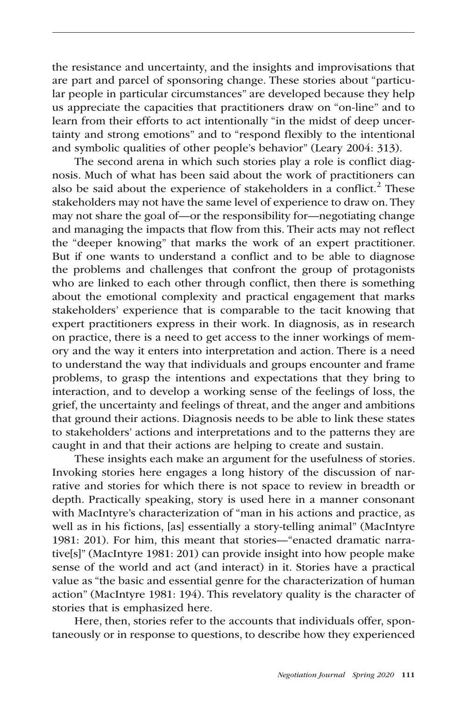the resistance and uncertainty, and the insights and improvisations that are part and parcel of sponsoring change. These stories about "particular people in particular circumstances" are developed because they help us appreciate the capacities that practitioners draw on "on-line" and to learn from their efforts to act intentionally "in the midst of deep uncertainty and strong emotions" and to "respond flexibly to the intentional and symbolic qualities of other people's behavior" (Leary 2004: 313).

The second arena in which such stories play a role is conflict diagnosis. Much of what has been said about the work of practitioners can also be said about the experience of stakeholders in a conflict.<sup>2</sup> These stakeholders may not have the same level of experience to draw on. They may not share the goal of—or the responsibility for—negotiating change and managing the impacts that flow from this. Their acts may not reflect the "deeper knowing" that marks the work of an expert practitioner. But if one wants to understand a conflict and to be able to diagnose the problems and challenges that confront the group of protagonists who are linked to each other through conflict, then there is something about the emotional complexity and practical engagement that marks stakeholders' experience that is comparable to the tacit knowing that expert practitioners express in their work. In diagnosis, as in research on practice, there is a need to get access to the inner workings of memory and the way it enters into interpretation and action. There is a need to understand the way that individuals and groups encounter and frame problems, to grasp the intentions and expectations that they bring to interaction, and to develop a working sense of the feelings of loss, the grief, the uncertainty and feelings of threat, and the anger and ambitions that ground their actions. Diagnosis needs to be able to link these states to stakeholders' actions and interpretations and to the patterns they are caught in and that their actions are helping to create and sustain.

These insights each make an argument for the usefulness of stories. Invoking stories here engages a long history of the discussion of narrative and stories for which there is not space to review in breadth or depth. Practically speaking, story is used here in a manner consonant with MacIntyre's characterization of "man in his actions and practice, as well as in his fictions, [as] essentially a story-telling animal" (MacIntyre 1981: 201). For him, this meant that stories—"enacted dramatic narrative[s]" (MacIntyre 1981: 201) can provide insight into how people make sense of the world and act (and interact) in it. Stories have a practical value as "the basic and essential genre for the characterization of human action" (MacIntyre 1981: 194). This revelatory quality is the character of stories that is emphasized here.

Here, then, stories refer to the accounts that individuals offer, spontaneously or in response to questions, to describe how they experienced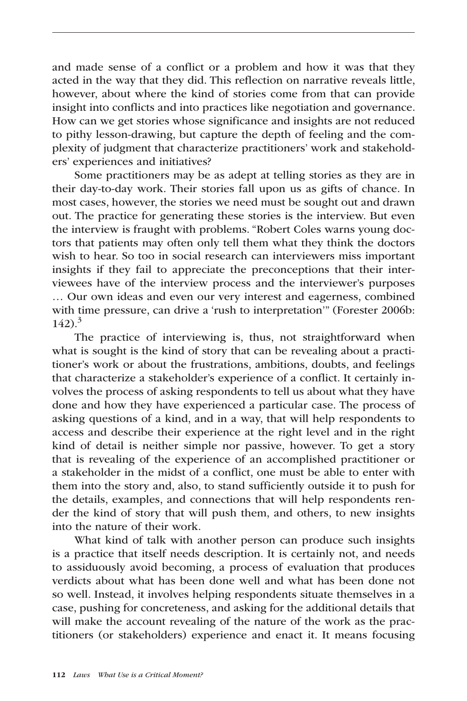and made sense of a conflict or a problem and how it was that they acted in the way that they did. This reflection on narrative reveals little, however, about where the kind of stories come from that can provide insight into conflicts and into practices like negotiation and governance. How can we get stories whose significance and insights are not reduced to pithy lesson-drawing, but capture the depth of feeling and the complexity of judgment that characterize practitioners' work and stakeholders' experiences and initiatives?

Some practitioners may be as adept at telling stories as they are in their day-to-day work. Their stories fall upon us as gifts of chance. In most cases, however, the stories we need must be sought out and drawn out. The practice for generating these stories is the interview. But even the interview is fraught with problems. "Robert Coles warns young doctors that patients may often only tell them what they think the doctors wish to hear. So too in social research can interviewers miss important insights if they fail to appreciate the preconceptions that their interviewees have of the interview process and the interviewer's purposes … Our own ideas and even our very interest and eagerness, combined with time pressure, can drive a 'rush to interpretation'" (Forester 2006b:  $142$ )<sup>3</sup>

The practice of interviewing is, thus, not straightforward when what is sought is the kind of story that can be revealing about a practitioner's work or about the frustrations, ambitions, doubts, and feelings that characterize a stakeholder's experience of a conflict. It certainly involves the process of asking respondents to tell us about what they have done and how they have experienced a particular case. The process of asking questions of a kind, and in a way, that will help respondents to access and describe their experience at the right level and in the right kind of detail is neither simple nor passive, however. To get a story that is revealing of the experience of an accomplished practitioner or a stakeholder in the midst of a conflict, one must be able to enter with them into the story and, also, to stand sufficiently outside it to push for the details, examples, and connections that will help respondents render the kind of story that will push them, and others, to new insights into the nature of their work.

What kind of talk with another person can produce such insights is a practice that itself needs description. It is certainly not, and needs to assiduously avoid becoming, a process of evaluation that produces verdicts about what has been done well and what has been done not so well. Instead, it involves helping respondents situate themselves in a case, pushing for concreteness, and asking for the additional details that will make the account revealing of the nature of the work as the practitioners (or stakeholders) experience and enact it. It means focusing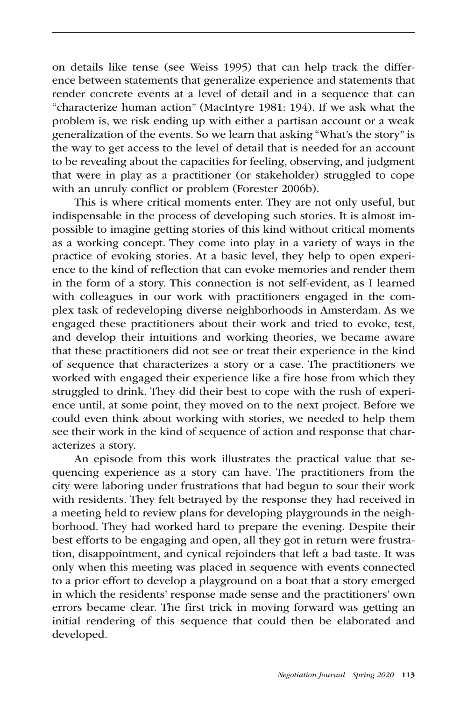on details like tense (see Weiss 1995) that can help track the difference between statements that generalize experience and statements that render concrete events at a level of detail and in a sequence that can "characterize human action" (MacIntyre 1981: 194). If we ask what the problem is, we risk ending up with either a partisan account or a weak generalization of the events. So we learn that asking "What's the story" is the way to get access to the level of detail that is needed for an account to be revealing about the capacities for feeling, observing, and judgment that were in play as a practitioner (or stakeholder) struggled to cope with an unruly conflict or problem (Forester 2006b).

This is where critical moments enter. They are not only useful, but indispensable in the process of developing such stories. It is almost impossible to imagine getting stories of this kind without critical moments as a working concept. They come into play in a variety of ways in the practice of evoking stories. At a basic level, they help to open experience to the kind of reflection that can evoke memories and render them in the form of a story. This connection is not self-evident, as I learned with colleagues in our work with practitioners engaged in the complex task of redeveloping diverse neighborhoods in Amsterdam. As we engaged these practitioners about their work and tried to evoke, test, and develop their intuitions and working theories, we became aware that these practitioners did not see or treat their experience in the kind of sequence that characterizes a story or a case. The practitioners we worked with engaged their experience like a fire hose from which they struggled to drink. They did their best to cope with the rush of experience until, at some point, they moved on to the next project. Before we could even think about working with stories, we needed to help them see their work in the kind of sequence of action and response that characterizes a story.

An episode from this work illustrates the practical value that sequencing experience as a story can have. The practitioners from the city were laboring under frustrations that had begun to sour their work with residents. They felt betrayed by the response they had received in a meeting held to review plans for developing playgrounds in the neighborhood. They had worked hard to prepare the evening. Despite their best efforts to be engaging and open, all they got in return were frustration, disappointment, and cynical rejoinders that left a bad taste. It was only when this meeting was placed in sequence with events connected to a prior effort to develop a playground on a boat that a story emerged in which the residents' response made sense and the practitioners' own errors became clear. The first trick in moving forward was getting an initial rendering of this sequence that could then be elaborated and developed.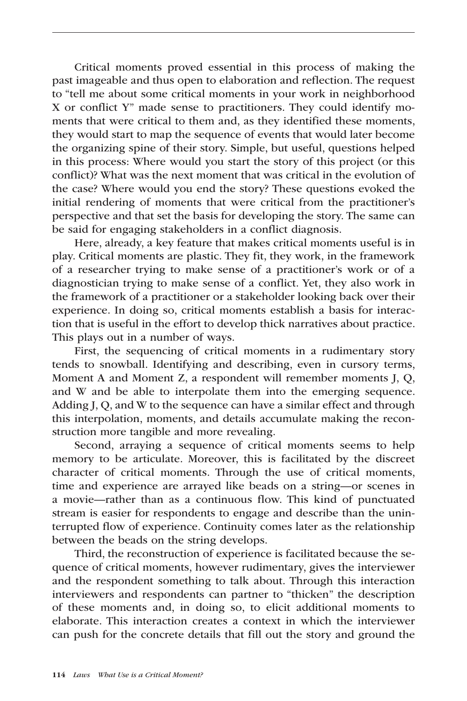Critical moments proved essential in this process of making the past imageable and thus open to elaboration and reflection. The request to "tell me about some critical moments in your work in neighborhood X or conflict Y" made sense to practitioners. They could identify moments that were critical to them and, as they identified these moments, they would start to map the sequence of events that would later become the organizing spine of their story. Simple, but useful, questions helped in this process: Where would you start the story of this project (or this conflict)? What was the next moment that was critical in the evolution of the case? Where would you end the story? These questions evoked the initial rendering of moments that were critical from the practitioner's perspective and that set the basis for developing the story. The same can be said for engaging stakeholders in a conflict diagnosis.

Here, already, a key feature that makes critical moments useful is in play. Critical moments are plastic. They fit, they work, in the framework of a researcher trying to make sense of a practitioner's work or of a diagnostician trying to make sense of a conflict. Yet, they also work in the framework of a practitioner or a stakeholder looking back over their experience. In doing so, critical moments establish a basis for interaction that is useful in the effort to develop thick narratives about practice. This plays out in a number of ways.

First, the sequencing of critical moments in a rudimentary story tends to snowball. Identifying and describing, even in cursory terms, Moment A and Moment Z, a respondent will remember moments J, Q, and W and be able to interpolate them into the emerging sequence. Adding J, Q, and W to the sequence can have a similar effect and through this interpolation, moments, and details accumulate making the reconstruction more tangible and more revealing.

Second, arraying a sequence of critical moments seems to help memory to be articulate. Moreover, this is facilitated by the discreet character of critical moments. Through the use of critical moments, time and experience are arrayed like beads on a string—or scenes in a movie—rather than as a continuous flow. This kind of punctuated stream is easier for respondents to engage and describe than the uninterrupted flow of experience. Continuity comes later as the relationship between the beads on the string develops.

Third, the reconstruction of experience is facilitated because the sequence of critical moments, however rudimentary, gives the interviewer and the respondent something to talk about. Through this interaction interviewers and respondents can partner to "thicken" the description of these moments and, in doing so, to elicit additional moments to elaborate. This interaction creates a context in which the interviewer can push for the concrete details that fill out the story and ground the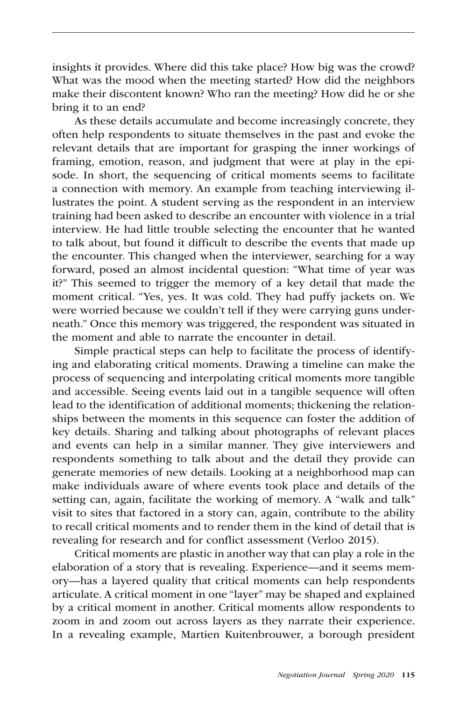insights it provides. Where did this take place? How big was the crowd? What was the mood when the meeting started? How did the neighbors make their discontent known? Who ran the meeting? How did he or she bring it to an end?

As these details accumulate and become increasingly concrete, they often help respondents to situate themselves in the past and evoke the relevant details that are important for grasping the inner workings of framing, emotion, reason, and judgment that were at play in the episode. In short, the sequencing of critical moments seems to facilitate a connection with memory. An example from teaching interviewing illustrates the point. A student serving as the respondent in an interview training had been asked to describe an encounter with violence in a trial interview. He had little trouble selecting the encounter that he wanted to talk about, but found it difficult to describe the events that made up the encounter. This changed when the interviewer, searching for a way forward, posed an almost incidental question: "What time of year was it?" This seemed to trigger the memory of a key detail that made the moment critical. "Yes, yes. It was cold. They had puffy jackets on. We were worried because we couldn't tell if they were carrying guns underneath." Once this memory was triggered, the respondent was situated in the moment and able to narrate the encounter in detail.

Simple practical steps can help to facilitate the process of identifying and elaborating critical moments. Drawing a timeline can make the process of sequencing and interpolating critical moments more tangible and accessible. Seeing events laid out in a tangible sequence will often lead to the identification of additional moments; thickening the relationships between the moments in this sequence can foster the addition of key details. Sharing and talking about photographs of relevant places and events can help in a similar manner. They give interviewers and respondents something to talk about and the detail they provide can generate memories of new details. Looking at a neighborhood map can make individuals aware of where events took place and details of the setting can, again, facilitate the working of memory. A "walk and talk" visit to sites that factored in a story can, again, contribute to the ability to recall critical moments and to render them in the kind of detail that is revealing for research and for conflict assessment (Verloo 2015).

Critical moments are plastic in another way that can play a role in the elaboration of a story that is revealing. Experience—and it seems memory—has a layered quality that critical moments can help respondents articulate. A critical moment in one "layer" may be shaped and explained by a critical moment in another. Critical moments allow respondents to zoom in and zoom out across layers as they narrate their experience. In a revealing example, Martien Kuitenbrouwer, a borough president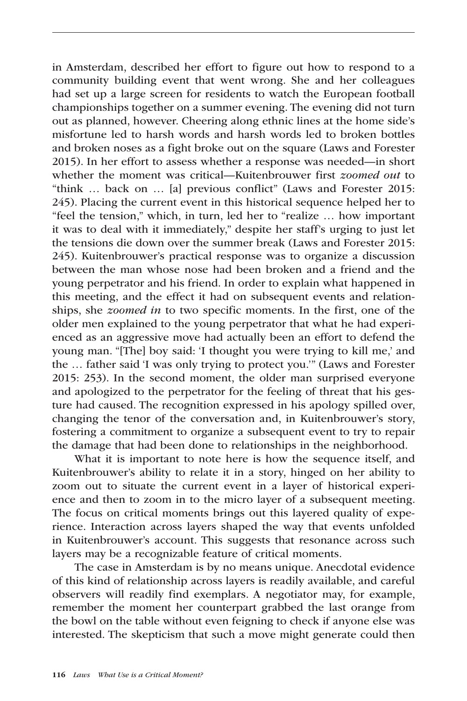in Amsterdam, described her effort to figure out how to respond to a community building event that went wrong. She and her colleagues had set up a large screen for residents to watch the European football championships together on a summer evening. The evening did not turn out as planned, however. Cheering along ethnic lines at the home side's misfortune led to harsh words and harsh words led to broken bottles and broken noses as a fight broke out on the square (Laws and Forester 2015). In her effort to assess whether a response was needed—in short whether the moment was critical—Kuitenbrouwer first *zoomed out* to "think … back on … [a] previous conflict" (Laws and Forester 2015: 245). Placing the current event in this historical sequence helped her to "feel the tension," which, in turn, led her to "realize … how important it was to deal with it immediately," despite her staff's urging to just let the tensions die down over the summer break (Laws and Forester 2015: 245). Kuitenbrouwer's practical response was to organize a discussion between the man whose nose had been broken and a friend and the young perpetrator and his friend. In order to explain what happened in this meeting, and the effect it had on subsequent events and relationships, she *zoomed in* to two specific moments. In the first, one of the older men explained to the young perpetrator that what he had experienced as an aggressive move had actually been an effort to defend the young man. "[The] boy said: 'I thought you were trying to kill me,' and the … father said 'I was only trying to protect you.'" (Laws and Forester 2015: 253). In the second moment, the older man surprised everyone and apologized to the perpetrator for the feeling of threat that his gesture had caused. The recognition expressed in his apology spilled over, changing the tenor of the conversation and, in Kuitenbrouwer's story, fostering a commitment to organize a subsequent event to try to repair the damage that had been done to relationships in the neighborhood.

What it is important to note here is how the sequence itself, and Kuitenbrouwer's ability to relate it in a story, hinged on her ability to zoom out to situate the current event in a layer of historical experience and then to zoom in to the micro layer of a subsequent meeting. The focus on critical moments brings out this layered quality of experience. Interaction across layers shaped the way that events unfolded in Kuitenbrouwer's account. This suggests that resonance across such layers may be a recognizable feature of critical moments.

The case in Amsterdam is by no means unique. Anecdotal evidence of this kind of relationship across layers is readily available, and careful observers will readily find exemplars. A negotiator may, for example, remember the moment her counterpart grabbed the last orange from the bowl on the table without even feigning to check if anyone else was interested. The skepticism that such a move might generate could then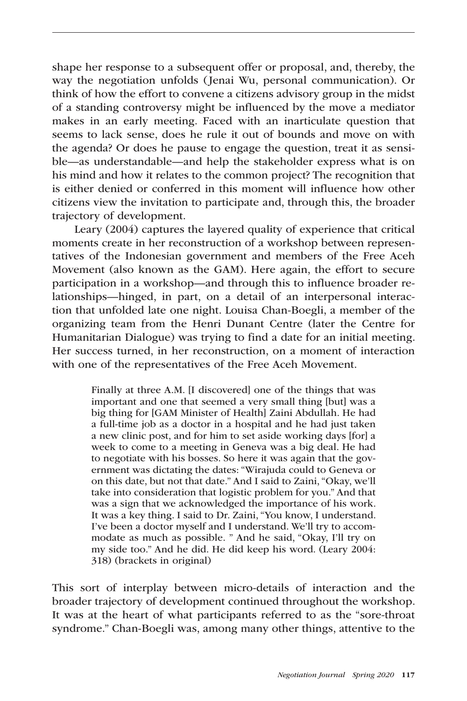shape her response to a subsequent offer or proposal, and, thereby, the way the negotiation unfolds (Jenai Wu, personal communication). Or think of how the effort to convene a citizens advisory group in the midst of a standing controversy might be influenced by the move a mediator makes in an early meeting. Faced with an inarticulate question that seems to lack sense, does he rule it out of bounds and move on with the agenda? Or does he pause to engage the question, treat it as sensible—as understandable—and help the stakeholder express what is on his mind and how it relates to the common project? The recognition that is either denied or conferred in this moment will influence how other citizens view the invitation to participate and, through this, the broader trajectory of development.

Leary (2004) captures the layered quality of experience that critical moments create in her reconstruction of a workshop between representatives of the Indonesian government and members of the Free Aceh Movement (also known as the GAM). Here again, the effort to secure participation in a workshop—and through this to influence broader relationships—hinged, in part, on a detail of an interpersonal interaction that unfolded late one night. Louisa Chan-Boegli, a member of the organizing team from the Henri Dunant Centre (later the Centre for Humanitarian Dialogue) was trying to find a date for an initial meeting. Her success turned, in her reconstruction, on a moment of interaction with one of the representatives of the Free Aceh Movement.

> Finally at three A.M. [I discovered] one of the things that was important and one that seemed a very small thing [but] was a big thing for [GAM Minister of Health] Zaini Abdullah. He had a full-time job as a doctor in a hospital and he had just taken a new clinic post, and for him to set aside working days [for] a week to come to a meeting in Geneva was a big deal. He had to negotiate with his bosses. So here it was again that the government was dictating the dates: "Wirajuda could to Geneva or on this date, but not that date." And I said to Zaini, "Okay, we'll take into consideration that logistic problem for you." And that was a sign that we acknowledged the importance of his work. It was a key thing. I said to Dr. Zaini, "You know, I understand. I've been a doctor myself and I understand. We'll try to accommodate as much as possible. " And he said, "Okay, I'll try on my side too." And he did. He did keep his word. (Leary 2004: 318) (brackets in original)

This sort of interplay between micro-details of interaction and the broader trajectory of development continued throughout the workshop. It was at the heart of what participants referred to as the "sore-throat syndrome." Chan-Boegli was, among many other things, attentive to the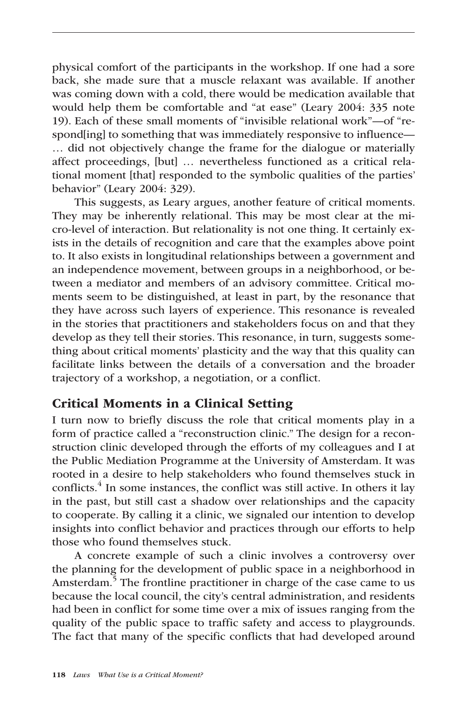physical comfort of the participants in the workshop. If one had a sore back, she made sure that a muscle relaxant was available. If another was coming down with a cold, there would be medication available that would help them be comfortable and "at ease" (Leary 2004: 335 note 19). Each of these small moments of "invisible relational work"—of "respond[ing] to something that was immediately responsive to influence— … did not objectively change the frame for the dialogue or materially affect proceedings, [but] … nevertheless functioned as a critical relational moment [that] responded to the symbolic qualities of the parties' behavior" (Leary 2004: 329).

This suggests, as Leary argues, another feature of critical moments. They may be inherently relational. This may be most clear at the micro-level of interaction. But relationality is not one thing. It certainly exists in the details of recognition and care that the examples above point to. It also exists in longitudinal relationships between a government and an independence movement, between groups in a neighborhood, or between a mediator and members of an advisory committee. Critical moments seem to be distinguished, at least in part, by the resonance that they have across such layers of experience. This resonance is revealed in the stories that practitioners and stakeholders focus on and that they develop as they tell their stories. This resonance, in turn, suggests something about critical moments' plasticity and the way that this quality can facilitate links between the details of a conversation and the broader trajectory of a workshop, a negotiation, or a conflict.

#### Critical Moments in a Clinical Setting

I turn now to briefly discuss the role that critical moments play in a form of practice called a "reconstruction clinic." The design for a reconstruction clinic developed through the efforts of my colleagues and I at the Public Mediation Programme at the University of Amsterdam. It was rooted in a desire to help stakeholders who found themselves stuck in conflicts.<sup>4</sup> In some instances, the conflict was still active. In others it lay in the past, but still cast a shadow over relationships and the capacity to cooperate. By calling it a clinic, we signaled our intention to develop insights into conflict behavior and practices through our efforts to help those who found themselves stuck.

A concrete example of such a clinic involves a controversy over the planning for the development of public space in a neighborhood in Amsterdam.<sup>5</sup> The frontline practitioner in charge of the case came to us because the local council, the city's central administration, and residents had been in conflict for some time over a mix of issues ranging from the quality of the public space to traffic safety and access to playgrounds. The fact that many of the specific conflicts that had developed around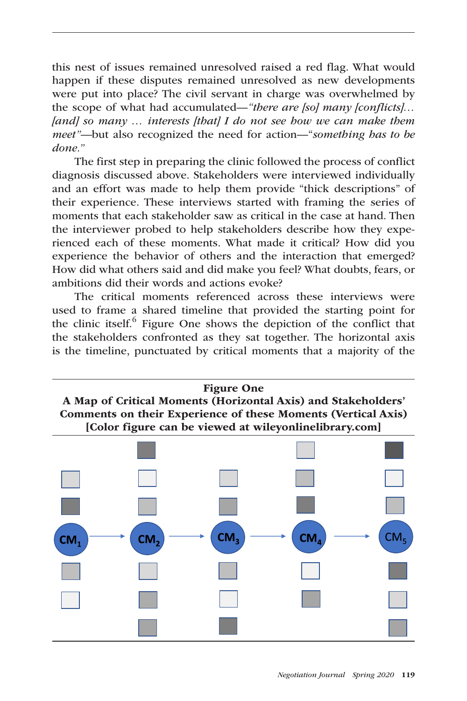this nest of issues remained unresolved raised a red flag. What would happen if these disputes remained unresolved as new developments were put into place? The civil servant in charge was overwhelmed by the scope of what had accumulated—*"there are [so] many [conflicts]… [and] so many … interests [that] I do not see how we can make them meet"—*but also recognized the need for action—"*something has to be done."*

The first step in preparing the clinic followed the process of conflict diagnosis discussed above. Stakeholders were interviewed individually and an effort was made to help them provide "thick descriptions" of their experience. These interviews started with framing the series of moments that each stakeholder saw as critical in the case at hand. Then the interviewer probed to help stakeholders describe how they experienced each of these moments. What made it critical? How did you experience the behavior of others and the interaction that emerged? How did what others said and did make you feel? What doubts, fears, or ambitions did their words and actions evoke?

The critical moments referenced across these interviews were used to frame a shared timeline that provided the starting point for the clinic itself.<sup>6</sup> Figure One shows the depiction of the conflict that the stakeholders confronted as they sat together. The horizontal axis is the timeline, punctuated by critical moments that a majority of the

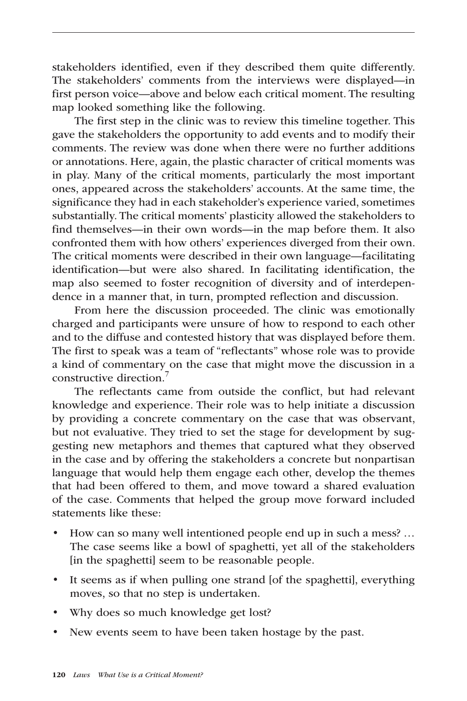stakeholders identified, even if they described them quite differently. The stakeholders' comments from the interviews were displayed—in first person voice—above and below each critical moment. The resulting map looked something like the following.

The first step in the clinic was to review this timeline together. This gave the stakeholders the opportunity to add events and to modify their comments. The review was done when there were no further additions or annotations. Here, again, the plastic character of critical moments was in play. Many of the critical moments, particularly the most important ones, appeared across the stakeholders' accounts. At the same time, the significance they had in each stakeholder's experience varied, sometimes substantially. The critical moments' plasticity allowed the stakeholders to find themselves—in their own words—in the map before them. It also confronted them with how others' experiences diverged from their own. The critical moments were described in their own language—facilitating identification—but were also shared. In facilitating identification, the map also seemed to foster recognition of diversity and of interdependence in a manner that, in turn, prompted reflection and discussion.

From here the discussion proceeded. The clinic was emotionally charged and participants were unsure of how to respond to each other and to the diffuse and contested history that was displayed before them. The first to speak was a team of "reflectants" whose role was to provide a kind of commentary on the case that might move the discussion in a constructive direction.7

The reflectants came from outside the conflict, but had relevant knowledge and experience. Their role was to help initiate a discussion by providing a concrete commentary on the case that was observant, but not evaluative. They tried to set the stage for development by suggesting new metaphors and themes that captured what they observed in the case and by offering the stakeholders a concrete but nonpartisan language that would help them engage each other, develop the themes that had been offered to them, and move toward a shared evaluation of the case. Comments that helped the group move forward included statements like these:

- How can so many well intentioned people end up in such a mess? … The case seems like a bowl of spaghetti, yet all of the stakeholders [in the spaghetti] seem to be reasonable people.
- It seems as if when pulling one strand [of the spaghetti], everything moves, so that no step is undertaken.
- Why does so much knowledge get lost?
- New events seem to have been taken hostage by the past.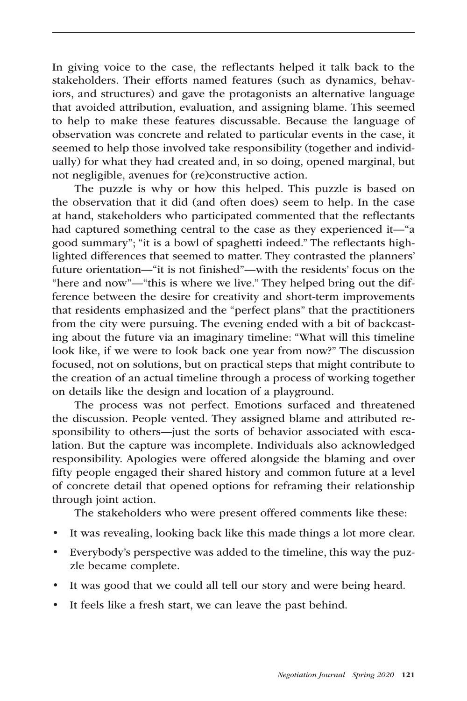In giving voice to the case, the reflectants helped it talk back to the stakeholders. Their efforts named features (such as dynamics, behaviors, and structures) and gave the protagonists an alternative language that avoided attribution, evaluation, and assigning blame. This seemed to help to make these features discussable. Because the language of observation was concrete and related to particular events in the case, it seemed to help those involved take responsibility (together and individually) for what they had created and, in so doing, opened marginal, but not negligible, avenues for (re)constructive action.

The puzzle is why or how this helped. This puzzle is based on the observation that it did (and often does) seem to help. In the case at hand, stakeholders who participated commented that the reflectants had captured something central to the case as they experienced it—"a good summary"; "it is a bowl of spaghetti indeed." The reflectants highlighted differences that seemed to matter. They contrasted the planners' future orientation—"it is not finished"—with the residents' focus on the "here and now"—"this is where we live." They helped bring out the difference between the desire for creativity and short-term improvements that residents emphasized and the "perfect plans" that the practitioners from the city were pursuing. The evening ended with a bit of backcasting about the future via an imaginary timeline: "What will this timeline look like, if we were to look back one year from now?" The discussion focused, not on solutions, but on practical steps that might contribute to the creation of an actual timeline through a process of working together on details like the design and location of a playground.

The process was not perfect. Emotions surfaced and threatened the discussion. People vented. They assigned blame and attributed responsibility to others—just the sorts of behavior associated with escalation. But the capture was incomplete. Individuals also acknowledged responsibility. Apologies were offered alongside the blaming and over fifty people engaged their shared history and common future at a level of concrete detail that opened options for reframing their relationship through joint action.

The stakeholders who were present offered comments like these:

- It was revealing, looking back like this made things a lot more clear.
- Everybody's perspective was added to the timeline, this way the puzzle became complete.
- It was good that we could all tell our story and were being heard.
- It feels like a fresh start, we can leave the past behind.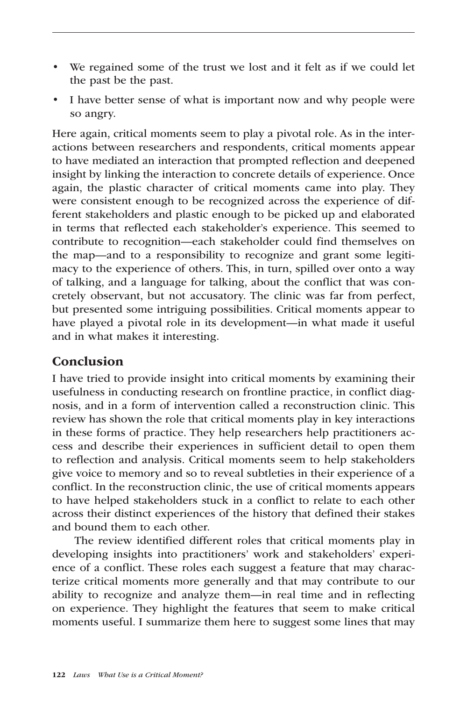- We regained some of the trust we lost and it felt as if we could let the past be the past.
- I have better sense of what is important now and why people were so angry.

Here again, critical moments seem to play a pivotal role. As in the interactions between researchers and respondents, critical moments appear to have mediated an interaction that prompted reflection and deepened insight by linking the interaction to concrete details of experience. Once again, the plastic character of critical moments came into play. They were consistent enough to be recognized across the experience of different stakeholders and plastic enough to be picked up and elaborated in terms that reflected each stakeholder's experience. This seemed to contribute to recognition—each stakeholder could find themselves on the map—and to a responsibility to recognize and grant some legitimacy to the experience of others. This, in turn, spilled over onto a way of talking, and a language for talking, about the conflict that was concretely observant, but not accusatory. The clinic was far from perfect, but presented some intriguing possibilities. Critical moments appear to have played a pivotal role in its development—in what made it useful and in what makes it interesting.

#### Conclusion

I have tried to provide insight into critical moments by examining their usefulness in conducting research on frontline practice, in conflict diagnosis, and in a form of intervention called a reconstruction clinic. This review has shown the role that critical moments play in key interactions in these forms of practice. They help researchers help practitioners access and describe their experiences in sufficient detail to open them to reflection and analysis. Critical moments seem to help stakeholders give voice to memory and so to reveal subtleties in their experience of a conflict. In the reconstruction clinic, the use of critical moments appears to have helped stakeholders stuck in a conflict to relate to each other across their distinct experiences of the history that defined their stakes and bound them to each other.

The review identified different roles that critical moments play in developing insights into practitioners' work and stakeholders' experience of a conflict. These roles each suggest a feature that may characterize critical moments more generally and that may contribute to our ability to recognize and analyze them—in real time and in reflecting on experience. They highlight the features that seem to make critical moments useful. I summarize them here to suggest some lines that may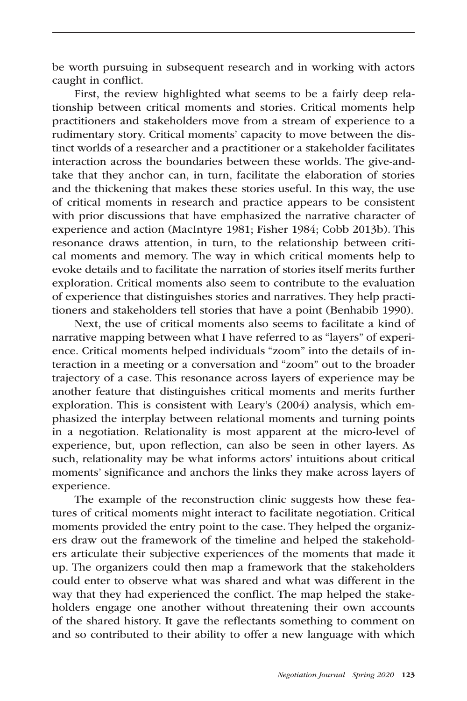be worth pursuing in subsequent research and in working with actors caught in conflict.

First, the review highlighted what seems to be a fairly deep relationship between critical moments and stories. Critical moments help practitioners and stakeholders move from a stream of experience to a rudimentary story. Critical moments' capacity to move between the distinct worlds of a researcher and a practitioner or a stakeholder facilitates interaction across the boundaries between these worlds. The give-andtake that they anchor can, in turn, facilitate the elaboration of stories and the thickening that makes these stories useful. In this way, the use of critical moments in research and practice appears to be consistent with prior discussions that have emphasized the narrative character of experience and action (MacIntyre 1981; Fisher 1984; Cobb 2013b). This resonance draws attention, in turn, to the relationship between critical moments and memory. The way in which critical moments help to evoke details and to facilitate the narration of stories itself merits further exploration. Critical moments also seem to contribute to the evaluation of experience that distinguishes stories and narratives. They help practitioners and stakeholders tell stories that have a point (Benhabib 1990).

Next, the use of critical moments also seems to facilitate a kind of narrative mapping between what I have referred to as "layers" of experience. Critical moments helped individuals "zoom" into the details of interaction in a meeting or a conversation and "zoom" out to the broader trajectory of a case. This resonance across layers of experience may be another feature that distinguishes critical moments and merits further exploration. This is consistent with Leary's (2004) analysis, which emphasized the interplay between relational moments and turning points in a negotiation. Relationality is most apparent at the micro-level of experience, but, upon reflection, can also be seen in other layers. As such, relationality may be what informs actors' intuitions about critical moments' significance and anchors the links they make across layers of experience.

The example of the reconstruction clinic suggests how these features of critical moments might interact to facilitate negotiation. Critical moments provided the entry point to the case. They helped the organizers draw out the framework of the timeline and helped the stakeholders articulate their subjective experiences of the moments that made it up. The organizers could then map a framework that the stakeholders could enter to observe what was shared and what was different in the way that they had experienced the conflict. The map helped the stakeholders engage one another without threatening their own accounts of the shared history. It gave the reflectants something to comment on and so contributed to their ability to offer a new language with which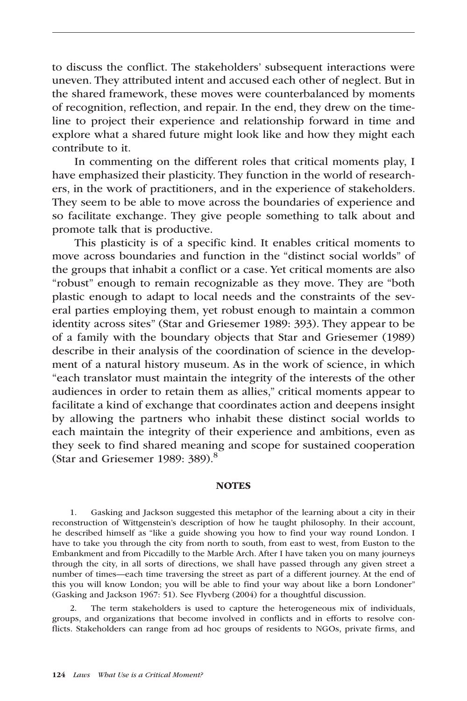to discuss the conflict. The stakeholders' subsequent interactions were uneven. They attributed intent and accused each other of neglect. But in the shared framework, these moves were counterbalanced by moments of recognition, reflection, and repair. In the end, they drew on the timeline to project their experience and relationship forward in time and explore what a shared future might look like and how they might each contribute to it.

In commenting on the different roles that critical moments play, I have emphasized their plasticity. They function in the world of researchers, in the work of practitioners, and in the experience of stakeholders. They seem to be able to move across the boundaries of experience and so facilitate exchange. They give people something to talk about and promote talk that is productive.

This plasticity is of a specific kind. It enables critical moments to move across boundaries and function in the "distinct social worlds" of the groups that inhabit a conflict or a case. Yet critical moments are also "robust" enough to remain recognizable as they move. They are "both plastic enough to adapt to local needs and the constraints of the several parties employing them, yet robust enough to maintain a common identity across sites" (Star and Griesemer 1989: 393). They appear to be of a family with the boundary objects that Star and Griesemer (1989) describe in their analysis of the coordination of science in the development of a natural history museum. As in the work of science, in which "each translator must maintain the integrity of the interests of the other audiences in order to retain them as allies," critical moments appear to facilitate a kind of exchange that coordinates action and deepens insight by allowing the partners who inhabit these distinct social worlds to each maintain the integrity of their experience and ambitions, even as they seek to find shared meaning and scope for sustained cooperation (Star and Griesemer 1989: 389).<sup>8</sup>

#### **NOTES**

1. Gasking and Jackson suggested this metaphor of the learning about a city in their reconstruction of Wittgenstein's description of how he taught philosophy. In their account, he described himself as "like a guide showing you how to find your way round London. I have to take you through the city from north to south, from east to west, from Euston to the Embankment and from Piccadilly to the Marble Arch. After I have taken you on many journeys through the city, in all sorts of directions, we shall have passed through any given street a number of times—each time traversing the street as part of a different journey. At the end of this you will know London; you will be able to find your way about like a born Londoner" (Gasking and Jackson 1967: 51). See Flyvberg (2004) for a thoughtful discussion.

2. The term stakeholders is used to capture the heterogeneous mix of individuals, groups, and organizations that become involved in conflicts and in efforts to resolve conflicts. Stakeholders can range from ad hoc groups of residents to NGOs, private firms, and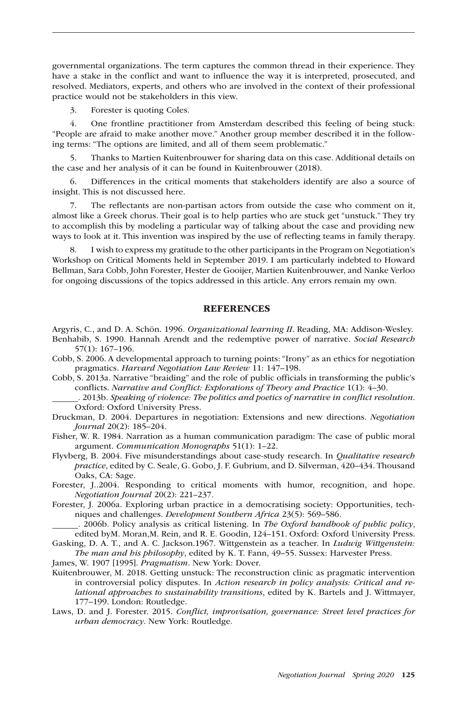governmental organizations. The term captures the common thread in their experience. They have a stake in the conflict and want to influence the way it is interpreted, prosecuted, and resolved. Mediators, experts, and others who are involved in the context of their professional practice would not be stakeholders in this view.

3. Forester is quoting Coles.

4. One frontline practitioner from Amsterdam described this feeling of being stuck: "People are afraid to make another move." Another group member described it in the following terms: "The options are limited, and all of them seem problematic."

5. Thanks to Martien Kuitenbrouwer for sharing data on this case. Additional details on the case and her analysis of it can be found in Kuitenbrouwer (2018).

6. Differences in the critical moments that stakeholders identify are also a source of insight. This is not discussed here.

7. The reflectants are non-partisan actors from outside the case who comment on it, almost like a Greek chorus. Their goal is to help parties who are stuck get "unstuck." They try to accomplish this by modeling a particular way of talking about the case and providing new ways to look at it. This invention was inspired by the use of reflecting teams in family therapy.

8. I wish to express my gratitude to the other participants in the Program on Negotiation's Workshop on Critical Moments held in September 2019. I am particularly indebted to Howard Bellman, Sara Cobb, John Forester, Hester de Gooijer, Martien Kuitenbrouwer, and Nanke Verloo for ongoing discussions of the topics addressed in this article. Any errors remain my own.

#### **REFERENCES**

Argyris, C., and D. A. Schön. 1996. *Organizational learning II*. Reading, MA: Addison-Wesley. Benhabib, S. 1990. Hannah Arendt and the redemptive power of narrative. *Social Research* 57(1): 167–196.

Cobb, S. 2006. A developmental approach to turning points: "Irony" as an ethics for negotiation pragmatics. *Harvard Negotiation Law Review* 11: 147–198.

Cobb, S. 2013a. Narrative "braiding" and the role of public officials in transforming the public's conflicts. *Narrative and Conflict: Explorations of Theory and Practice* 1(1): 4–30.

 . 2013b. *Speaking of violence: The politics and poetics of narrative in conflict resolution*. Oxford: Oxford University Press.

Druckman, D. 2004. Departures in negotiation: Extensions and new directions. *Negotiation Journal* 20(2): 185–204.

Fisher, W. R. 1984. Narration as a human communication paradigm: The case of public moral argument. *Communication Monographs* 51(1): 1–22.

Flyvberg, B. 2004. Five misunderstandings about case-study research. In *Qualitative research practice*, edited by C. Seale, G. Gobo, J. F. Gubrium, and D. Silverman, 420–434. Thousand Oaks, CA: Sage.

Forester, J..2004. Responding to critical moments with humor, recognition, and hope. *Negotiation Journal* 20(2): 221–237.

Forester, J. 2006a. Exploring urban practice in a democratising society: Opportunities, techniques and challenges. *Development Southern Africa* 23(5): 569–586.

 . 2006b. Policy analysis as critical listening. In *The Oxford handbook of public policy*, edited byM. Moran,M. Rein, and R. E. Goodin, 124–151. Oxford: Oxford University Press.

Gasking, D. A. T., and A. C. Jackson.1967. Wittgenstein as a teacher. In *Ludwig Wittgenstein: The man and his philosophy*, edited by K. T. Fann, 49–55. Sussex: Harvester Press.

James, W. 1907 [1995]. *Pragmatism*. New York: Dover.

Kuitenbrouwer, M. 2018. Getting unstuck: The reconstruction clinic as pragmatic intervention in controversial policy disputes. In *Action research in policy analysis: Critical and relational approaches to sustainability transitions*, edited by K. Bartels and J. Wittmayer, 177–199. London: Routledge.

Laws, D. and J. Forester. 2015. *Conflict, improvisation, governance: Street level practices for urban democracy*. New York: Routledge.